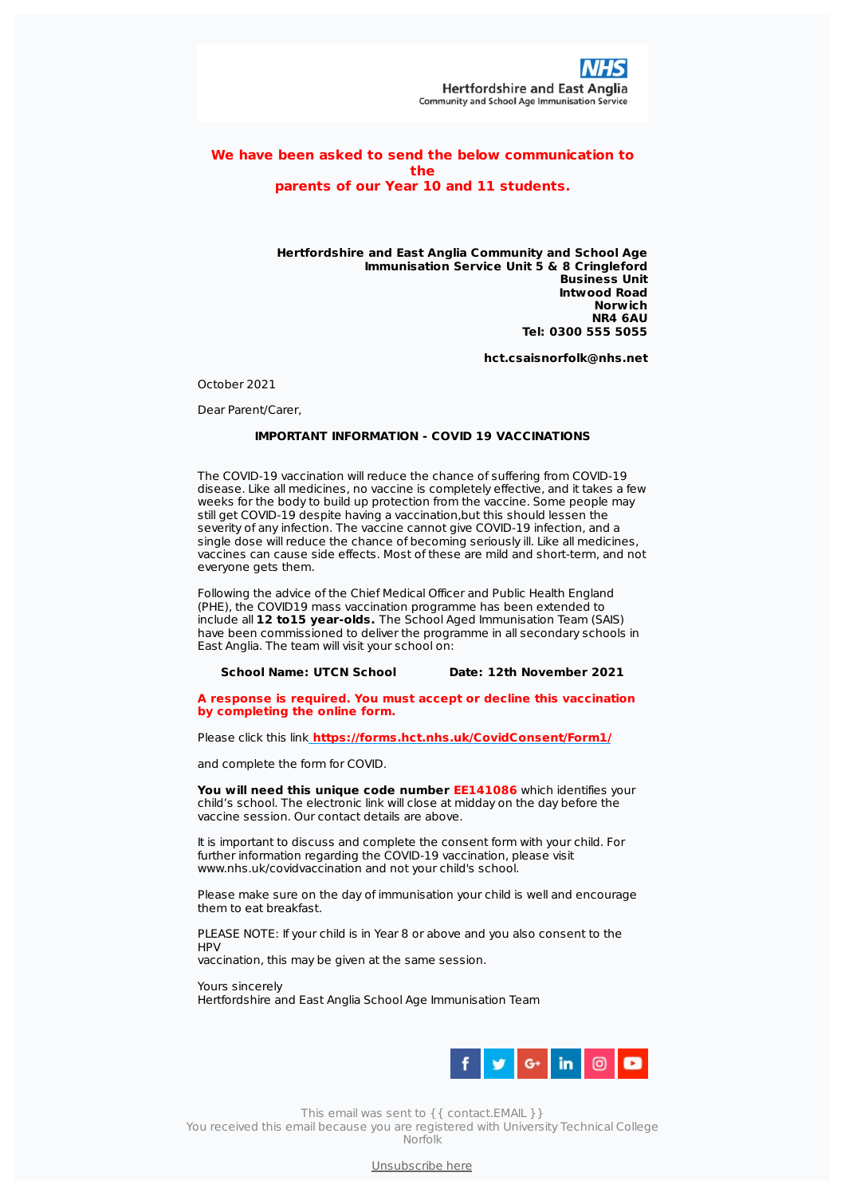

## **We have been asked to send the below communication to the parents of our Year 10 and 11 students.**

## **Hertfordshire and East Anglia Community and School Age Immunisation Service Unit 5 & 8 Cringleford Business Unit Intwood Road Norwich NR4 6AU Tel: 0300 555 5055**

**hct.csaisnorfolk@nhs.net**

October 2021

Dear Parent/Carer,

## **IMPORTANT INFORMATION - COVID 19 VACCINATIONS**

The COVID-19 vaccination will reduce the chance of suffering from COVID-19 disease. Like all medicines, no vaccine is completely effective, and it takes a few weeks for the body to build up protection from the vaccine. Some people may still get COVID-19 despite having a vaccination,but this should lessen the severity of any infection. The vaccine cannot give COVID-19 infection, and a single dose will reduce the chance of becoming seriously ill. Like all medicines, vaccines can cause side effects. Most of these are mild and short-term, and not everyone gets them.

Following the advice of the Chief Medical Officer and Public Health England (PHE), the COVID19 mass vaccination programme has been extended to include all **12 to15 year-olds.** The School Aged Immunisation Team (SAIS) have been commissioned to deliver the programme in all secondary schools in East Anglia. The team will visit your school on:

## **School Name: UTCN School Date: 12th November 2021**

**A response is required. You must accept or decline this vaccination by completing the online form.**

Please click this link **<https://forms.hct.nhs.uk/CovidConsent/Form1/>**

and complete the form for COVID.

**You will need this unique code number EE141086** which identifies your child's school. The electronic link will close at midday on the day before the vaccine session. Our contact details are above.

It is important to discuss and complete the consent form with your child. For further information regarding the COVID-19 vaccination, please visit www.nhs.uk/covidvaccination and not your child's school.

Please make sure on the day of immunisation your child is well and encourage them to eat breakfast.

PLEASE NOTE: If your child is in Year 8 or above and you also consent to the H<sub>PV</sub>

vaccination, this may be given at the same session.

Yours sincerely Hertfordshire and East Anglia School Age Immunisation Team



This email was sent to {{ contact.EMAIL }}

You received this email because you are registered with University Technical College Norfolk

[Unsubscribe](file:///var/www/html/public/public/theme/version4/generated/%7B%7B%20unsubscribe%20%7D%7D) here